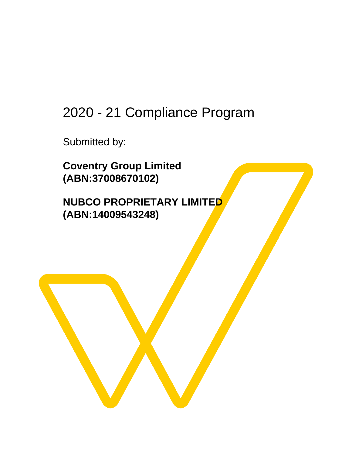# 2020 - 21 Compliance Program

Submitted by:

**Coventry Group Limited (ABN:37008670102)**

**NUBCO PROPRIETARY LIMITED (ABN:14009543248)**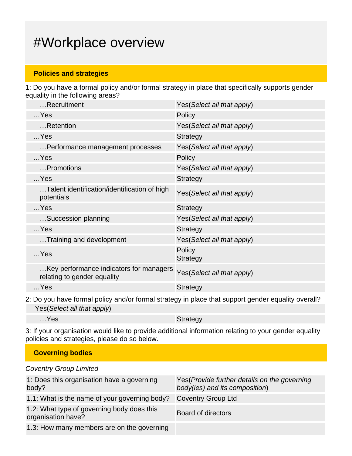## #Workplace overview

#### **Policies and strategies**

1: Do you have a formal policy and/or formal strategy in place that specifically supports gender equality in the following areas?

| Recruitment                                                            | Yes (Select all that apply) |
|------------------------------------------------------------------------|-----------------------------|
| $$ Yes                                                                 | Policy                      |
| Retention                                                              | Yes (Select all that apply) |
| $$ Yes                                                                 | <b>Strategy</b>             |
| Performance management processes                                       | Yes (Select all that apply) |
| $$ Yes                                                                 | Policy                      |
| Promotions                                                             | Yes (Select all that apply) |
| $$ Yes                                                                 | <b>Strategy</b>             |
| Talent identification/identification of high<br>potentials             | Yes(Select all that apply)  |
| $$ Yes                                                                 | <b>Strategy</b>             |
| Succession planning                                                    | Yes(Select all that apply)  |
| $$ Yes                                                                 | <b>Strategy</b>             |
| Training and development                                               | Yes(Select all that apply)  |
| $$ Yes                                                                 | Policy<br><b>Strategy</b>   |
| Key performance indicators for managers<br>relating to gender equality | Yes(Select all that apply)  |
| $$ Yes                                                                 | <b>Strategy</b>             |
|                                                                        |                             |

2: Do you have formal policy and/or formal strategy in place that support gender equality overall? Yes(Select all that apply)

...Yes Strategy

3: If your organisation would like to provide additional information relating to your gender equality policies and strategies, please do so below.

**Governing bodies** Coventry Group Limited 1: Does this organisation have a governing body? Yes(Provide further details on the governing body(ies) and its composition) 1.1: What is the name of your governing body? Coventry Group Ltd 1.2: What type of governing body does this T.2. What type of governing body does this<br>organisation have? 1.3: How many members are on the governing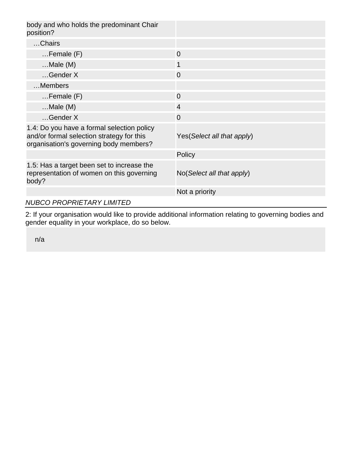| body and who holds the predominant Chair<br>position?                                                                             |                                      |
|-----------------------------------------------------------------------------------------------------------------------------------|--------------------------------------|
| Chairs                                                                                                                            |                                      |
| $Female$ (F)                                                                                                                      | $\overline{0}$                       |
| $$ Male $(M)$                                                                                                                     | $\mathbf 1$                          |
| Gender X                                                                                                                          | $\overline{0}$                       |
| Members                                                                                                                           |                                      |
| $Female$ (F)                                                                                                                      | $\overline{0}$                       |
| $$ Male $(M)$                                                                                                                     | $\overline{4}$                       |
| $$ Gender X                                                                                                                       | $\overline{0}$                       |
| 1.4: Do you have a formal selection policy<br>and/or formal selection strategy for this<br>organisation's governing body members? | Yes (Select all that apply)          |
|                                                                                                                                   | Policy                               |
| 1.5: Has a target been set to increase the<br>representation of women on this governing<br>body?                                  | $No(Select \textit{all} that apply)$ |
|                                                                                                                                   | Not a priority                       |
| <b>NUBCO PROPRIETARY LIMITED</b>                                                                                                  |                                      |

2: If your organisation would like to provide additional information relating to governing bodies and gender equality in your workplace, do so below.

n/a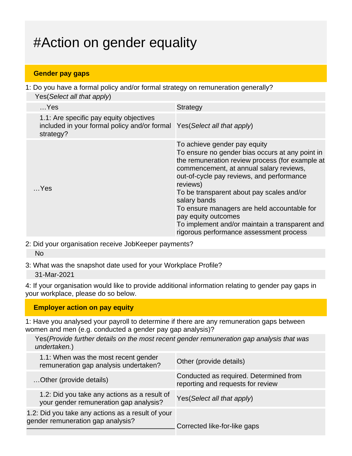# #Action on gender equality

#### **Gender pay gaps**

1: Do you have a formal policy and/or formal strategy on remuneration generally? Yes (Select all that apply)

| $$ Yes                                                                                                                          | <b>Strategy</b>                                                                                                                                                                                                                                                                                                                                                                                                                                                        |
|---------------------------------------------------------------------------------------------------------------------------------|------------------------------------------------------------------------------------------------------------------------------------------------------------------------------------------------------------------------------------------------------------------------------------------------------------------------------------------------------------------------------------------------------------------------------------------------------------------------|
| 1.1: Are specific pay equity objectives<br>included in your formal policy and/or formal Yes(Select all that apply)<br>strategy? |                                                                                                                                                                                                                                                                                                                                                                                                                                                                        |
| Yes                                                                                                                             | To achieve gender pay equity<br>To ensure no gender bias occurs at any point in<br>the remuneration review process (for example at<br>commencement, at annual salary reviews,<br>out-of-cycle pay reviews, and performance<br>reviews)<br>To be transparent about pay scales and/or<br>salary bands<br>To ensure managers are held accountable for<br>pay equity outcomes<br>To implement and/or maintain a transparent and<br>rigorous performance assessment process |
|                                                                                                                                 |                                                                                                                                                                                                                                                                                                                                                                                                                                                                        |

2: Did your organisation receive JobKeeper payments? No

3: What was the snapshot date used for your Workplace Profile? 31-Mar-2021

4: If your organisation would like to provide additional information relating to gender pay gaps in your workplace, please do so below.

#### **Employer action on pay equity**

1: Have you analysed your payroll to determine if there are any remuneration gaps between women and men (e.g. conducted a gender pay gap analysis)?

Yes(Provide further details on the most recent gender remuneration gap analysis that was undertaken.)

| 1.1: When was the most recent gender<br>remuneration gap analysis undertaken?          | Other (provide details)                                                     |
|----------------------------------------------------------------------------------------|-----------------------------------------------------------------------------|
| Other (provide details)                                                                | Conducted as required. Determined from<br>reporting and requests for review |
| 1.2: Did you take any actions as a result of<br>your gender remuneration gap analysis? | Yes (Select all that apply)                                                 |
| 1.2: Did you take any actions as a result of your<br>gender remuneration gap analysis? | Corrected like-for-like gaps                                                |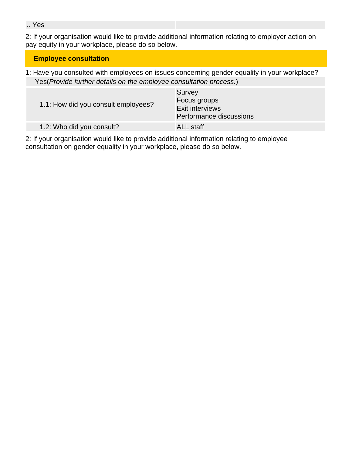.. Yes

2: If your organisation would like to provide additional information relating to employer action on pay equity in your workplace, please do so below.

## **Employee consultation**

1: Have you consulted with employees on issues concerning gender equality in your workplace? Yes(Provide further details on the employee consultation process.)

| 1.1: How did you consult employees? | Survey<br>Focus groups<br><b>Exit interviews</b><br>Performance discussions |
|-------------------------------------|-----------------------------------------------------------------------------|
| 1.2: Who did you consult?           | <b>ALL</b> staff                                                            |

2: If your organisation would like to provide additional information relating to employee consultation on gender equality in your workplace, please do so below.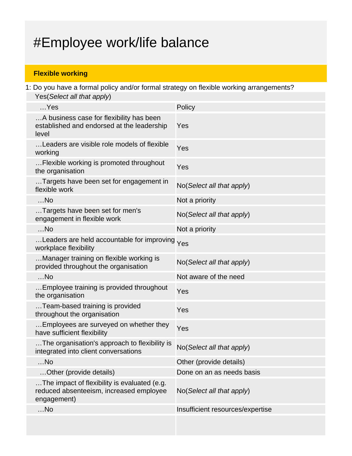# #Employee work/life balance

## **Flexible working**

1: Do you have a formal policy and/or formal strategy on flexible working arrangements? Yes(Select all that apply)

| $$ Yes                                                                                                 | Policy                           |
|--------------------------------------------------------------------------------------------------------|----------------------------------|
| A business case for flexibility has been<br>established and endorsed at the leadership<br>level        | Yes                              |
| Leaders are visible role models of flexible<br>working                                                 | Yes                              |
| Flexible working is promoted throughout<br>the organisation                                            | Yes                              |
| Targets have been set for engagement in<br>flexible work                                               | No(Select all that apply)        |
| $$ No                                                                                                  | Not a priority                   |
| Targets have been set for men's<br>engagement in flexible work                                         | No(Select all that apply)        |
| $$ No                                                                                                  | Not a priority                   |
| Leaders are held accountable for improving<br>workplace flexibility                                    | Yes                              |
| Manager training on flexible working is<br>provided throughout the organisation                        | No(Select all that apply)        |
| $$ No                                                                                                  | Not aware of the need            |
| Employee training is provided throughout<br>the organisation                                           | Yes                              |
| Team-based training is provided<br>throughout the organisation                                         | Yes                              |
| Employees are surveyed on whether they<br>have sufficient flexibility                                  | Yes                              |
| The organisation's approach to flexibility is<br>integrated into client conversations                  | No(Select all that apply)        |
| $$ No                                                                                                  | Other (provide details)          |
| Other (provide details)                                                                                | Done on an as needs basis        |
| The impact of flexibility is evaluated (e.g.<br>reduced absenteeism, increased employee<br>engagement) | No(Select all that apply)        |
| $$ No                                                                                                  | Insufficient resources/expertise |
|                                                                                                        |                                  |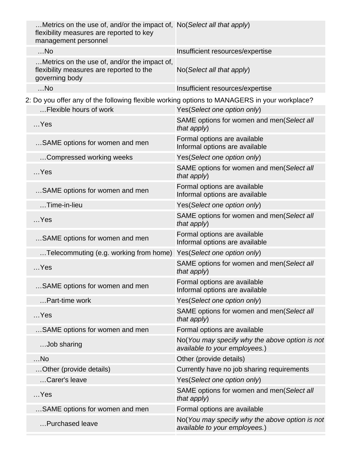|  | Metrics on the use of, and/or the impact of, No (Select all that apply)<br>flexibility measures are reported to key<br>management personnel |                                                                                 |
|--|---------------------------------------------------------------------------------------------------------------------------------------------|---------------------------------------------------------------------------------|
|  | $$ No                                                                                                                                       | Insufficient resources/expertise                                                |
|  | Metrics on the use of, and/or the impact of,<br>flexibility measures are reported to the<br>governing body                                  | No(Select all that apply)                                                       |
|  | $$ No                                                                                                                                       | Insufficient resources/expertise                                                |
|  | 2: Do you offer any of the following flexible working options to MANAGERS in your workplace?                                                |                                                                                 |
|  | Flexible hours of work                                                                                                                      | Yes(Select one option only)                                                     |
|  | $$ Yes                                                                                                                                      | SAME options for women and men(Select all<br>that apply)                        |
|  | SAME options for women and men                                                                                                              | Formal options are available<br>Informal options are available                  |
|  | Compressed working weeks                                                                                                                    | Yes(Select one option only)                                                     |
|  | $$ Yes                                                                                                                                      | SAME options for women and men(Select all<br>that apply)                        |
|  | SAME options for women and men                                                                                                              | Formal options are available<br>Informal options are available                  |
|  | $$ Time-in-lieu                                                                                                                             | Yes(Select one option only)                                                     |
|  | $$ Yes                                                                                                                                      | SAME options for women and men(Select all<br>that apply)                        |
|  | SAME options for women and men                                                                                                              | Formal options are available<br>Informal options are available                  |
|  | Telecommuting (e.g. working from home)                                                                                                      | Yes(Select one option only)                                                     |
|  | $$ Yes                                                                                                                                      | SAME options for women and men(Select all<br>that apply)                        |
|  | SAME options for women and men                                                                                                              | Formal options are available<br>Informal options are available                  |
|  | Part-time work                                                                                                                              | Yes(Select one option only)                                                     |
|  | $$ Yes                                                                                                                                      | SAME options for women and men(Select all<br>that apply)                        |
|  | SAME options for women and men                                                                                                              | Formal options are available                                                    |
|  | Job sharing                                                                                                                                 | No(You may specify why the above option is not<br>available to your employees.) |
|  | $$ No                                                                                                                                       | Other (provide details)                                                         |
|  | Other (provide details)                                                                                                                     | Currently have no job sharing requirements                                      |
|  | Carer's leave                                                                                                                               | Yes(Select one option only)                                                     |
|  | $$ Yes                                                                                                                                      | SAME options for women and men(Select all<br>that apply)                        |
|  | SAME options for women and men                                                                                                              | Formal options are available                                                    |
|  | Purchased leave                                                                                                                             | No(You may specify why the above option is not<br>available to your employees.) |
|  |                                                                                                                                             |                                                                                 |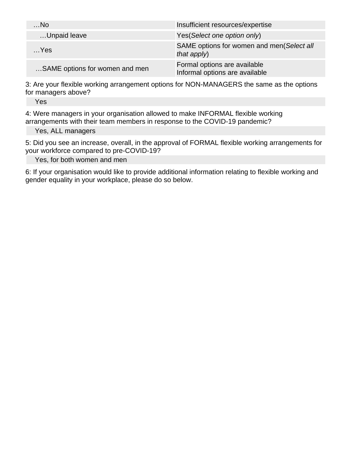| $$ No                          | Insufficient resources/expertise                               |
|--------------------------------|----------------------------------------------------------------|
| Unpaid leave                   | Yes (Select one option only)                                   |
| $$ Yes                         | SAME options for women and men(Select all<br>that $apply$ )    |
| SAME options for women and men | Formal options are available<br>Informal options are available |

3: Are your flexible working arrangement options for NON-MANAGERS the same as the options for managers above?

Yes

4: Were managers in your organisation allowed to make INFORMAL flexible working arrangements with their team members in response to the COVID-19 pandemic?

Yes, ALL managers

5: Did you see an increase, overall, in the approval of FORMAL flexible working arrangements for your workforce compared to pre-COVID-19?

Yes, for both women and men

6: If your organisation would like to provide additional information relating to flexible working and gender equality in your workplace, please do so below.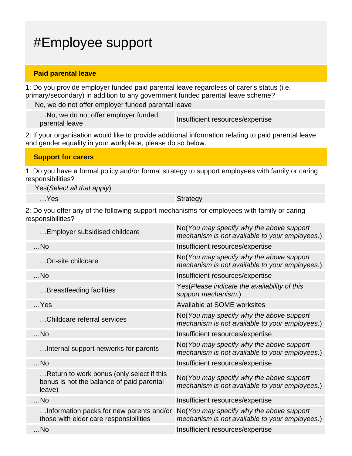# #Employee support

#### **Paid parental leave**

1: Do you provide employer funded paid parental leave regardless of carer's status (i.e. primary/secondary) in addition to any government funded parental leave scheme?

No, we do not offer employer funded parental leave

…No, we do not offer employer funded must be ab not oner employer runded<br>parental leave

2: If your organisation would like to provide additional information relating to paid parental leave and gender equality in your workplace, please do so below.

| <b>Support for carers</b>                                                                                             |  |
|-----------------------------------------------------------------------------------------------------------------------|--|
| 1: Do you have a formal policy and/or formal strategy to support employees with family or caring<br>responsibilities? |  |

Yes(Select all that apply)

...Yes Strategy

2: Do you offer any of the following support mechanisms for employees with family or caring responsibilities?

| Employer subsidised childcare                                                                    | No (You may specify why the above support<br>mechanism is not available to your employees.) |
|--------------------------------------------------------------------------------------------------|---------------------------------------------------------------------------------------------|
| $$ No                                                                                            | Insufficient resources/expertise                                                            |
| On-site childcare                                                                                | No(You may specify why the above support<br>mechanism is not available to your employees.)  |
| $$ No                                                                                            | Insufficient resources/expertise                                                            |
| Breastfeeding facilities                                                                         | Yes (Please indicate the availability of this<br>support mechanism.)                        |
| $$ Yes                                                                                           | Available at SOME worksites                                                                 |
| Childcare referral services                                                                      | No(You may specify why the above support<br>mechanism is not available to your employees.)  |
| $$ No                                                                                            | Insufficient resources/expertise                                                            |
| Internal support networks for parents                                                            | No(You may specify why the above support<br>mechanism is not available to your employees.)  |
| $$ No                                                                                            | Insufficient resources/expertise                                                            |
| Return to work bonus (only select if this<br>bonus is not the balance of paid parental<br>leave) | No(You may specify why the above support<br>mechanism is not available to your employees.)  |
| $$ No                                                                                            | Insufficient resources/expertise                                                            |
| Information packs for new parents and/or<br>those with elder care responsibilities               | No(You may specify why the above support<br>mechanism is not available to your employees.)  |
| $$ No                                                                                            | Insufficient resources/expertise                                                            |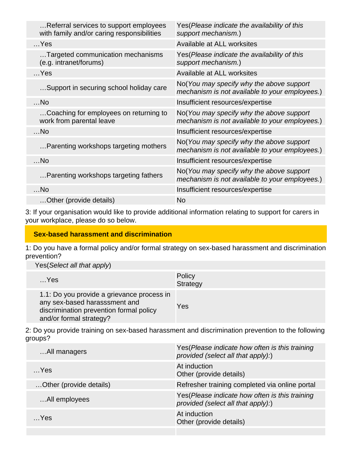| Referral services to support employees<br>with family and/or caring responsibilities | Yes (Please indicate the availability of this<br>support mechanism.)                       |
|--------------------------------------------------------------------------------------|--------------------------------------------------------------------------------------------|
| $$ Yes                                                                               | Available at ALL worksites                                                                 |
| Targeted communication mechanisms<br>(e.g. intranet/forums)                          | Yes(Please indicate the availability of this<br>support mechanism.)                        |
| $$ Yes                                                                               | Available at ALL worksites                                                                 |
| Support in securing school holiday care                                              | No(You may specify why the above support<br>mechanism is not available to your employees.) |
| $$ No                                                                                | Insufficient resources/expertise                                                           |
| Coaching for employees on returning to<br>work from parental leave                   | No(You may specify why the above support<br>mechanism is not available to your employees.) |
| $$ No                                                                                | Insufficient resources/expertise                                                           |
| Parenting workshops targeting mothers                                                | No(You may specify why the above support<br>mechanism is not available to your employees.) |
| $$ No                                                                                | Insufficient resources/expertise                                                           |
| Parenting workshops targeting fathers                                                | No(You may specify why the above support<br>mechanism is not available to your employees.) |
| $$ No                                                                                | Insufficient resources/expertise                                                           |
| Other (provide details)                                                              | No                                                                                         |

3: If your organisation would like to provide additional information relating to support for carers in your workplace, please do so below.

#### **Sex-based harassment and discrimination**

1: Do you have a formal policy and/or formal strategy on sex-based harassment and discrimination prevention?

Yes(Select all that apply)

| $$ Yes                                                                                                                                            | Policy<br>Strategy |
|---------------------------------------------------------------------------------------------------------------------------------------------------|--------------------|
| 1.1: Do you provide a grievance process in<br>any sex-based harasssment and<br>discrimination prevention formal policy<br>and/or formal strategy? | Yes                |

2: Do you provide training on sex-based harassment and discrimination prevention to the following groups?

| All managers            | Yes (Please indicate how often is this training<br>provided (select all that apply):) |
|-------------------------|---------------------------------------------------------------------------------------|
| Yes                     | At induction<br>Other (provide details)                                               |
| Other (provide details) | Refresher training completed via online portal                                        |
| All employees           | Yes (Please indicate how often is this training<br>provided (select all that apply):) |
| Yes                     | At induction<br>Other (provide details)                                               |
|                         |                                                                                       |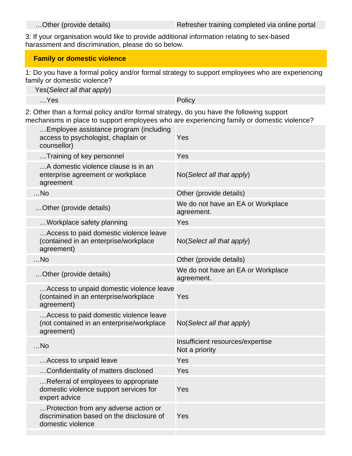3: If your organisation would like to provide additional information relating to sex-based harassment and discrimination, please do so below.

### **Family or domestic violence**

1: Do you have a formal policy and/or formal strategy to support employees who are experiencing family or domestic violence?

Yes(Select all that apply)

…Yes Policy

2: Other than a formal policy and/or formal strategy, do you have the following support mechanisms in place to support employees who are experiencing family or domestic violence?

| Employee assistance program (including<br>access to psychologist, chaplain or<br>counsellor)            | Yes                                                |
|---------------------------------------------------------------------------------------------------------|----------------------------------------------------|
| Training of key personnel                                                                               | Yes                                                |
| A domestic violence clause is in an<br>enterprise agreement or workplace<br>agreement                   | $No(Select \textit{all} that apply)$               |
| $$ No                                                                                                   | Other (provide details)                            |
| Other (provide details)                                                                                 | We do not have an EA or Workplace<br>agreement.    |
| Workplace safety planning                                                                               | Yes                                                |
| Access to paid domestic violence leave<br>(contained in an enterprise/workplace<br>agreement)           | No(Select all that apply)                          |
| $$ No                                                                                                   | Other (provide details)                            |
| Other (provide details)                                                                                 | We do not have an EA or Workplace<br>agreement.    |
| Access to unpaid domestic violence leave<br>(contained in an enterprise/workplace<br>agreement)         | Yes                                                |
| Access to paid domestic violence leave<br>(not contained in an enterprise/workplace<br>agreement)       | $No(Select \textit{all} that apply)$               |
| $$ No                                                                                                   | Insufficient resources/expertise<br>Not a priority |
| Access to unpaid leave                                                                                  | Yes                                                |
| Confidentiality of matters disclosed                                                                    | Yes                                                |
| Referral of employees to appropriate<br>domestic violence support services for<br>expert advice         | Yes                                                |
| Protection from any adverse action or<br>discrimination based on the disclosure of<br>domestic violence | Yes                                                |
|                                                                                                         |                                                    |